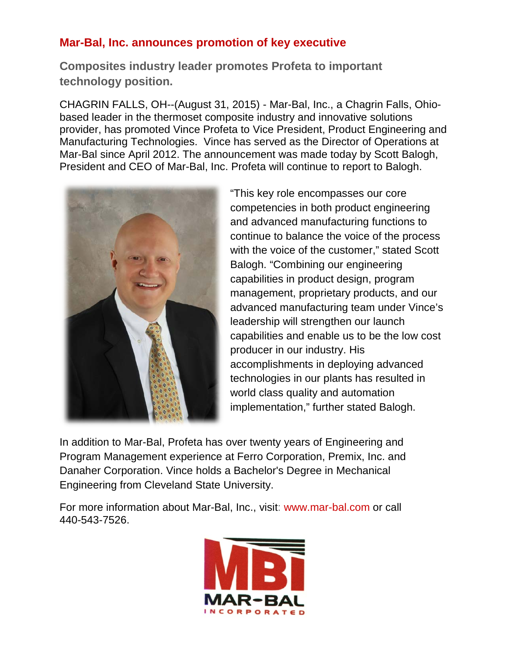## **Mar-Bal, Inc. announces promotion of key executive**

**Composites industry leader promotes Profeta to important technology position.** 

CHAGRIN FALLS, OH--(August 31, 2015) - Mar-Bal, Inc., a Chagrin Falls, Ohiobased leader in the thermoset composite industry and innovative solutions provider, has promoted Vince Profeta to Vice President, Product Engineering and Manufacturing Technologies. Vince has served as the Director of Operations at Mar-Bal since April 2012. The announcement was made today by Scott Balogh, President and CEO of Mar-Bal, Inc. Profeta will continue to report to Balogh.



"This key role encompasses our core competencies in both product engineering and advanced manufacturing functions to continue to balance the voice of the process with the voice of the customer," stated Scott Balogh. "Combining our engineering capabilities in product design, program management, proprietary products, and our advanced manufacturing team under Vince's leadership will strengthen our launch capabilities and enable us to be the low cost producer in our industry. His accomplishments in deploying advanced technologies in our plants has resulted in world class quality and automation implementation," further stated Balogh.

In addition to Mar-Bal, Profeta has over twenty years of Engineering and Program Management experience at Ferro Corporation, Premix, Inc. and Danaher Corporation. Vince holds a Bachelor's Degree in Mechanical Engineering from Cleveland State University.

For more information about Mar-Bal, Inc., visit: [www.mar-bal.com](http://www.mar-bal.com/) or call 440-543-7526.